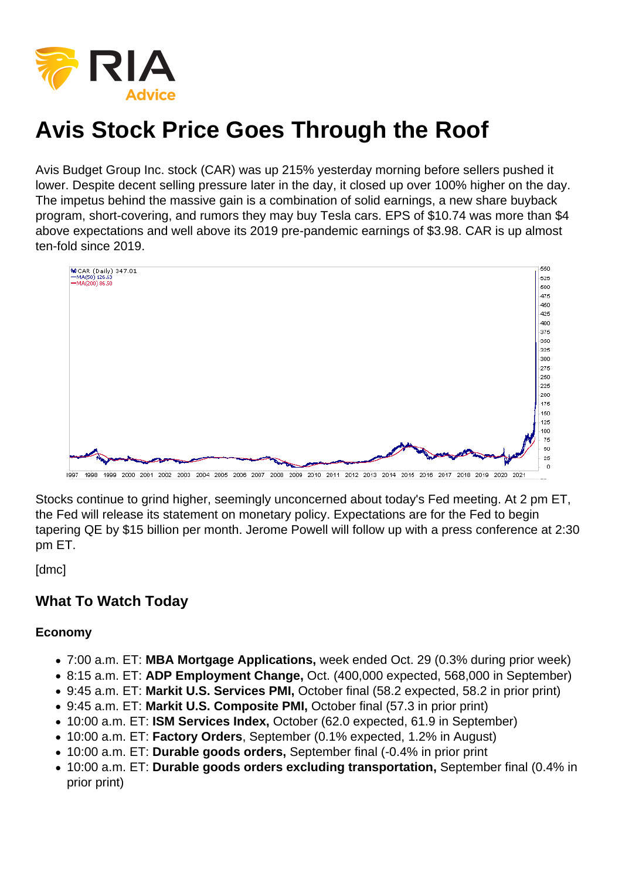

# **Avis Stock Price Goes Through the Roof**

Avis Budget Group Inc. stock (CAR) was up 215% yesterday morning before sellers pushed it lower. Despite decent selling pressure later in the day, it closed up over 100% higher on the day. The impetus behind the massive gain is a combination of solid earnings, a new share buyback program, short-covering, and rumors they may buy Tesla cars. EPS of \$10.74 was more than \$4 above expectations and well above its 2019 pre-pandemic earnings of \$3.98. CAR is up almost ten-fold since 2019.



Stocks continue to grind higher, seemingly unconcerned about today's Fed meeting. At 2 pm ET, the Fed will release its statement on monetary policy. Expectations are for the Fed to begin tapering QE by \$15 billion per month. Jerome Powell will follow up with a press conference at 2:30 pm ET.

[dmc]

# **What To Watch Today**

#### **Economy**

- 7:00 a.m. ET: **MBA Mortgage Applications,** week ended Oct. 29 (0.3% during prior week)
- 8:15 a.m. ET: **ADP Employment Change,** Oct. (400,000 expected, 568,000 in September)
- 9:45 a.m. ET: **Markit U.S. Services PMI,** October final (58.2 expected, 58.2 in prior print)
- 9:45 a.m. ET: **Markit U.S. Composite PMI,** October final (57.3 in prior print)
- 10:00 a.m. ET: **ISM Services Index,** October (62.0 expected, 61.9 in September)
- 10:00 a.m. ET: **Factory Orders**, September (0.1% expected, 1.2% in August)
- 10:00 a.m. ET: **Durable goods orders,** September final (-0.4% in prior print
- 10:00 a.m. ET: **Durable goods orders excluding transportation,** September final (0.4% in prior print)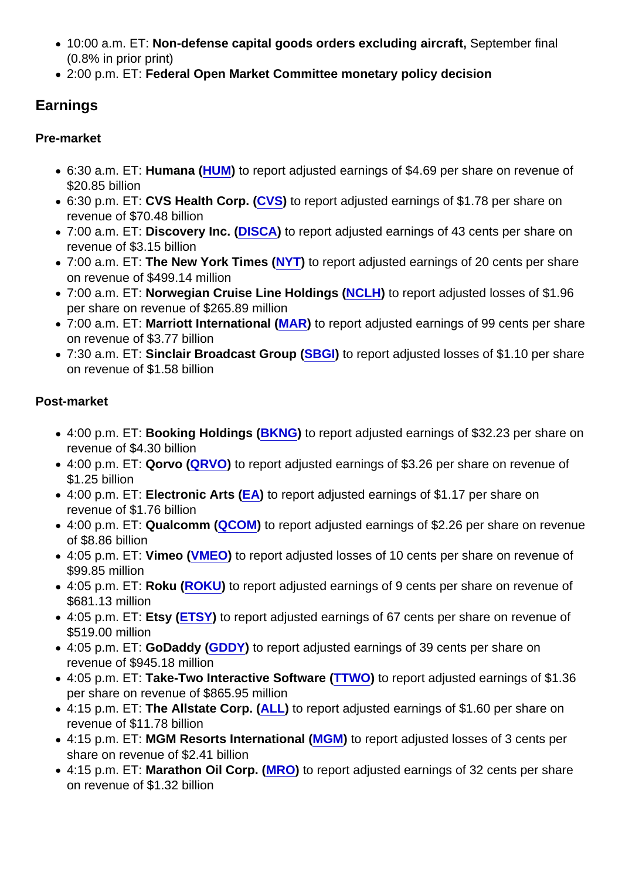- 10:00 a.m. ET: Non-defense capital goods orders excluding aircraft, September final (0.8% in prior print)
- 2:00 p.m. ET: Federal Open Market Committee monetary policy decision

# Earnings

Pre-market

- 6:30 a.m. ET: Humana ( [HUM](https://finance.yahoo.com/quote/HUM)) to report adjusted earnings of \$4.69 per share on revenue of \$20.85 billion
- 6:30 p.m. ET: CVS Health Corp. ( [CVS\)](https://finance.yahoo.com/quote/CVS) to report adjusted earnings of \$1.78 per share on revenue of \$70.48 billion
- 7:00 a.m. ET: Discovery Inc. ( [DISCA](https://finance.yahoo.com/quote/DISCA)) to report adjusted earnings of 43 cents per share on revenue of \$3.15 billion
- 7:00 a.m. ET: The New York Times ([NYT](https://finance.yahoo.com/quote/NYT)) to report adjusted earnings of 20 cents per share on revenue of \$499.14 million
- 7:00 a.m. ET: Norwegian Cruise Line Holdings ( [NCLH\)](https://finance.yahoo.com/quote/NCLH) to report adjusted losses of \$1.96 per share on revenue of \$265.89 million
- 7:00 a.m. ET: Marriott International ([MAR](https://finance.yahoo.com/quote/MAR)) to report adjusted earnings of 99 cents per share on revenue of \$3.77 billion
- 7:30 a.m. ET: Sinclair Broadcast Group ( [SBGI\)](https://finance.yahoo.com/quote/SBGI) to report adjusted losses of \$1.10 per share on revenue of \$1.58 billion

Post-market

- 4:00 p.m. ET: Booking Holdings ([BKNG\)](https://finance.yahoo.com/quote/BKNG?p=BKNG&.tsrc=fin-srch) to report adjusted earnings of \$32.23 per share on revenue of \$4.30 billion
- 4:00 p.m. ET: Qorvo ( [QRVO](https://finance.yahoo.com/quote/QRVO)) to report adjusted earnings of \$3.26 per share on revenue of \$1.25 billion
- 4:00 p.m. ET: Electronic Arts ( [EA\)](https://finance.yahoo.com/quote/EA) to report adjusted earnings of \$1.17 per share on revenue of \$1.76 billion
- 4:00 p.m. ET: Qualcomm ( [QCOM](https://finance.yahoo.com/quote/QCOM)) to report adjusted earnings of \$2.26 per share on revenue of \$8.86 billion
- 4:05 p.m. ET: Vimeo ( [VMEO](https://finance.yahoo.com/quote/VMEO)) to report adjusted losses of 10 cents per share on revenue of \$99.85 million
- 4:05 p.m. ET: Roku ( [ROKU](https://finance.yahoo.com/quote/ROKU)) to report adjusted earnings of 9 cents per share on revenue of \$681.13 million
- 4:05 p.m. ET: Etsy ([ETSY](https://finance.yahoo.com/quote/ETSY)) to report adjusted earnings of 67 cents per share on revenue of \$519.00 million
- 4:05 p.m. ET: GoDaddy ([GDDY\)](https://finance.yahoo.com/quote/GDDY) to report adjusted earnings of 39 cents per share on revenue of \$945.18 million
- 4:05 p.m. ET: Take-Two Interactive Software ( [TTWO\)](https://finance.yahoo.com/quote/TTWO) to report adjusted earnings of \$1.36 per share on revenue of \$865.95 million
- 4:15 p.m. ET: The Allstate Corp. ([ALL](https://finance.yahoo.com/quote/ALL)) to report adjusted earnings of \$1.60 per share on revenue of \$11.78 billion
- 4:15 p.m. ET: MGM Resorts International ( [MGM\)](https://finance.yahoo.com/quote/MGM) to report adjusted losses of 3 cents per share on revenue of \$2.41 billion
- $\bullet$  4:15 p.m. ET: Marathon Oil Corp. ([MRO\)](https://finance.yahoo.com/quote/MRO) to report adjusted earnings of 32 cents per share on revenue of \$1.32 billion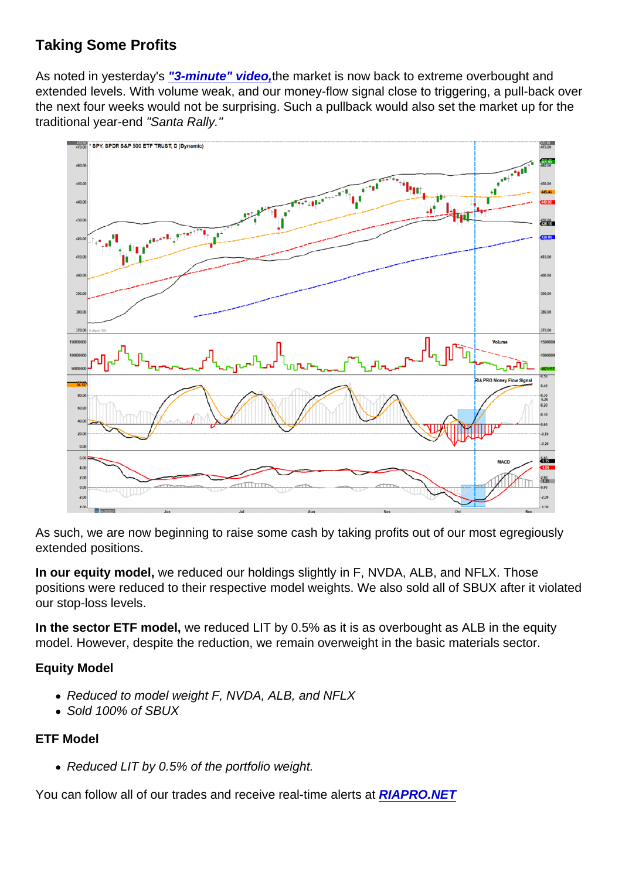### Taking Some Profits

As noted in yesterday's ["3-minute" video,](https://youtu.be/YrotkC8rafU) the market is now back to extreme overbought and extended levels. With volume weak, and our money-flow signal close to triggering, a pull-back over the next four weeks would not be surprising. Such a pullback would also set the market up for the traditional year-end "Santa Rally."

As such, we are now beginning to raise some cash by taking profits out of our most egregiously extended positions.

In our equity model, we reduced our holdings slightly in F, NVDA, ALB, and NFLX. Those positions were reduced to their respective model weights. We also sold all of SBUX after it violated our stop-loss levels.

In the sector ETF model, we reduced LIT by 0.5% as it is as overbought as ALB in the equity model. However, despite the reduction, we remain overweight in the basic materials sector.

Equity Model

- Reduced to model weight F, NVDA, ALB, and NFLX
- Sold 100% of SBUX

ETF Model

• Reduced LIT by 0.5% of the portfolio weight.

You can follow all of our trades and receive real-time alerts at [RIAPRO.NET](https://riapro.net/home)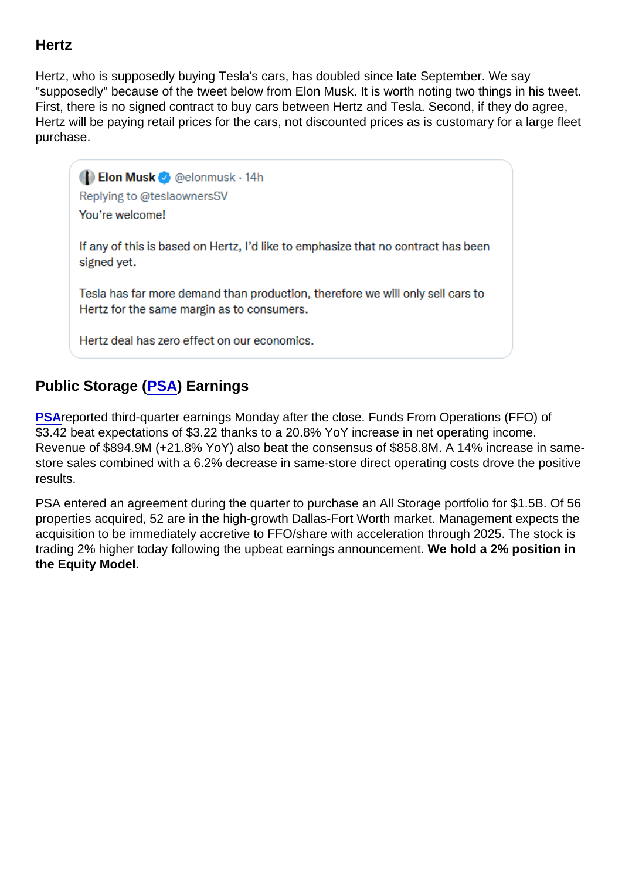#### **Hertz**

Hertz, who is supposedly buying Tesla's cars, has doubled since late September. We say "supposedly" because of the tweet below from Elon Musk. It is worth noting two things in his tweet. First, there is no signed contract to buy cars between Hertz and Tesla. Second, if they do agree, Hertz will be paying retail prices for the cars, not discounted prices as is customary for a large fleet purchase.

Public Storage ( [PSA\)](https://riapro.net/charts/PSA) Earnings

[PSAr](https://riapro.net/charts/PSA)eported third-quarter earnings Monday after the close. Funds From Operations (FFO) of \$3.42 beat expectations of \$3.22 thanks to a 20.8% YoY increase in net operating income. Revenue of \$894.9M (+21.8% YoY) also beat the consensus of \$858.8M. A 14% increase in samestore sales combined with a 6.2% decrease in same-store direct operating costs drove the positive results.

PSA entered an agreement during the quarter to purchase an All Storage portfolio for \$1.5B. Of 56 properties acquired, 52 are in the high-growth Dallas-Fort Worth market. Management expects the acquisition to be immediately accretive to FFO/share with acceleration through 2025. The stock is trading 2% higher today following the upbeat earnings announcement. We hold a 2% position in the Equity Model.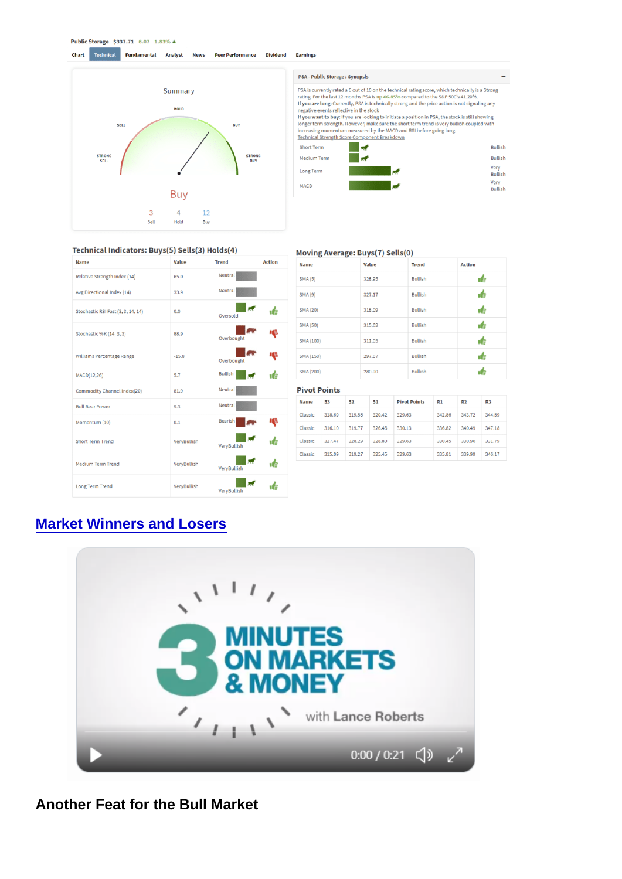[Market Winners and Losers](https://youtu.be/YrotkC8rafU)

Another Feat for the Bull Market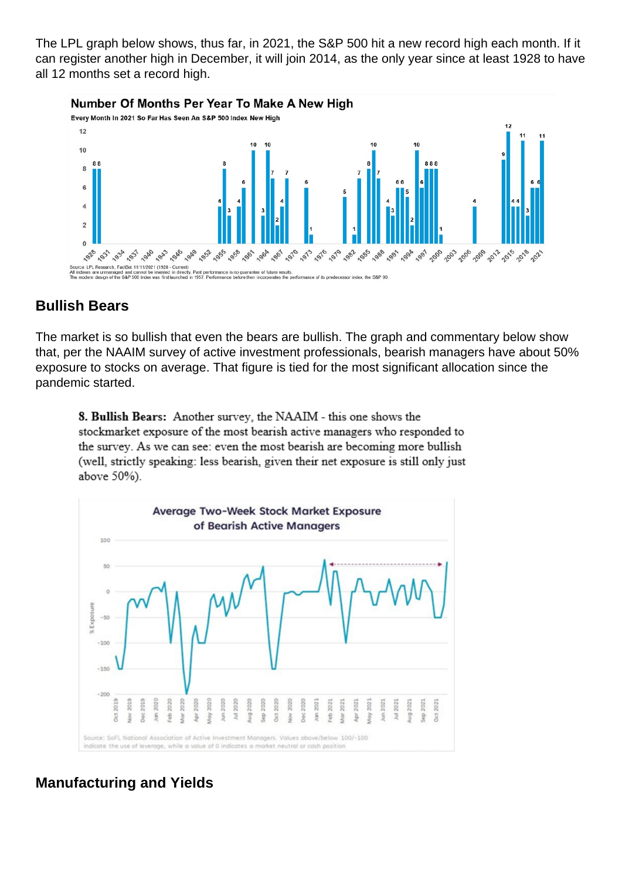The LPL graph below shows, thus far, in 2021, the S&P 500 hit a new record high each month. If it can register another high in December, it will join 2014, as the only year since at least 1928 to have all 12 months set a record high.

Bullish Bears

The market is so bullish that even the bears are bullish. The graph and commentary below show that, per the NAAIM survey of active investment professionals, bearish managers have about 50% exposure to stocks on average. That figure is tied for the most significant allocation since the pandemic started.

Manufacturing and Yields